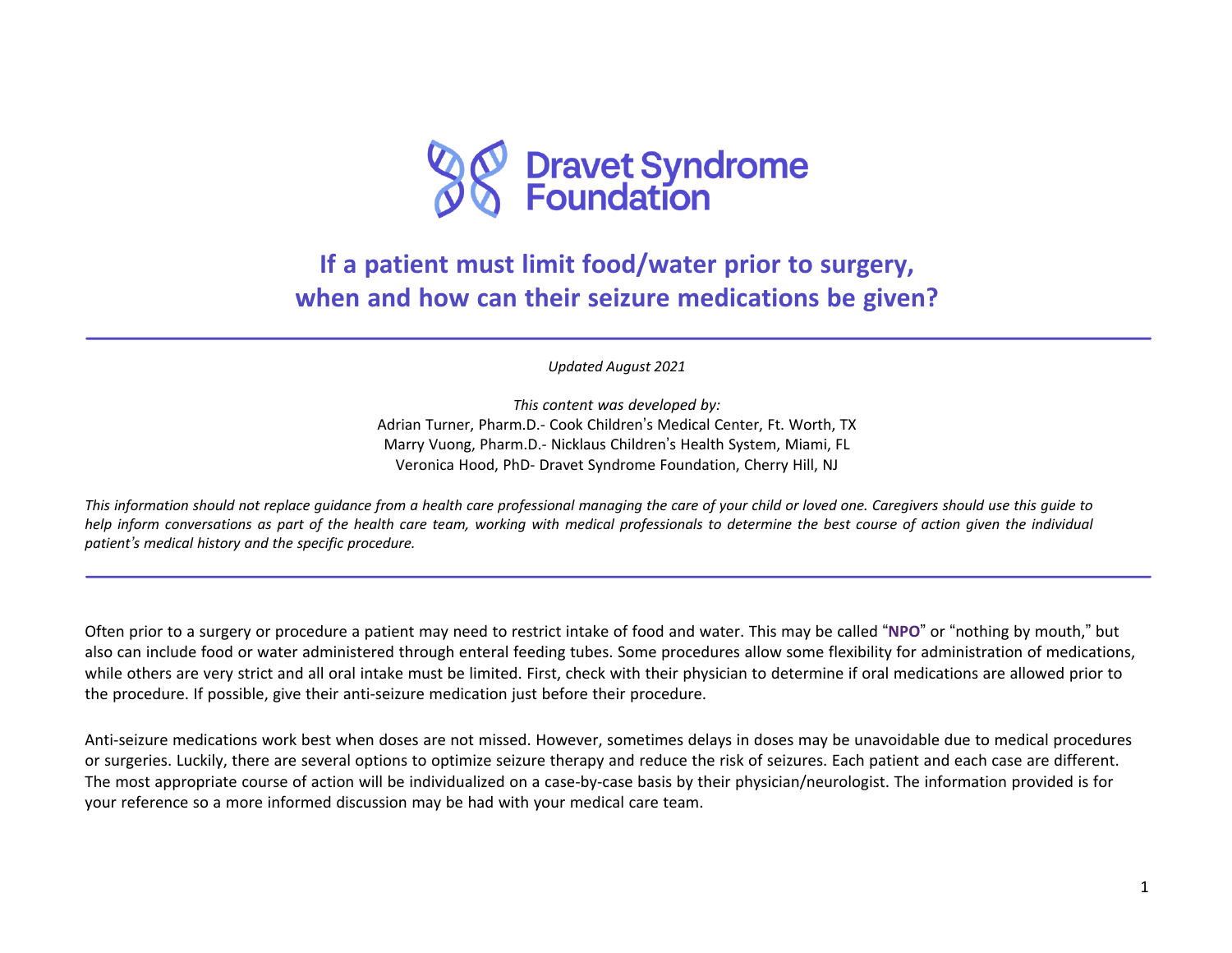

## **If a patient must limit food/water prior to surgery, when and how can their seizure medications be given?**

*Updated August 2021*

*This content was developed by:* Adrian Turner, Pharm.D.- Cook Children's Medical Center, Ft. Worth, TX Marry Vuong, Pharm.D.- Nicklaus Children's Health System, Miami, FL Veronica Hood, PhD- Dravet Syndrome Foundation, Cherry Hill, NJ

This information should not replace quidance from a health care professional managing the care of your child or loved one. Caregivers should use this quide to help inform conversations as part of the health care team, working with medical professionals to determine the best course of action given the individual *patient's medical history and the specific procedure.*

Often prior to a surgery or procedure a patient may need to restrict intake of food and water. This may be called "**NPO**" or "nothing by mouth," but also can include food or water administered through enteral feeding tubes. Some procedures allow some flexibility for administration of medications, while others are very strict and all oral intake must be limited. First, check with their physician to determine if oral medications are allowed prior to the procedure. If possible, give their anti-seizure medication just before their procedure.

Anti-seizure medications work best when doses are not missed. However, sometimes delays in doses may be unavoidable due to medical procedures or surgeries. Luckily, there are several options to optimize seizure therapy and reduce the risk of seizures. Each patient and each case are different. The most appropriate course of action will be individualized on a case-by-case basis by their physician/neurologist. The information provided is for your reference so a more informed discussion may be had with your medical care team.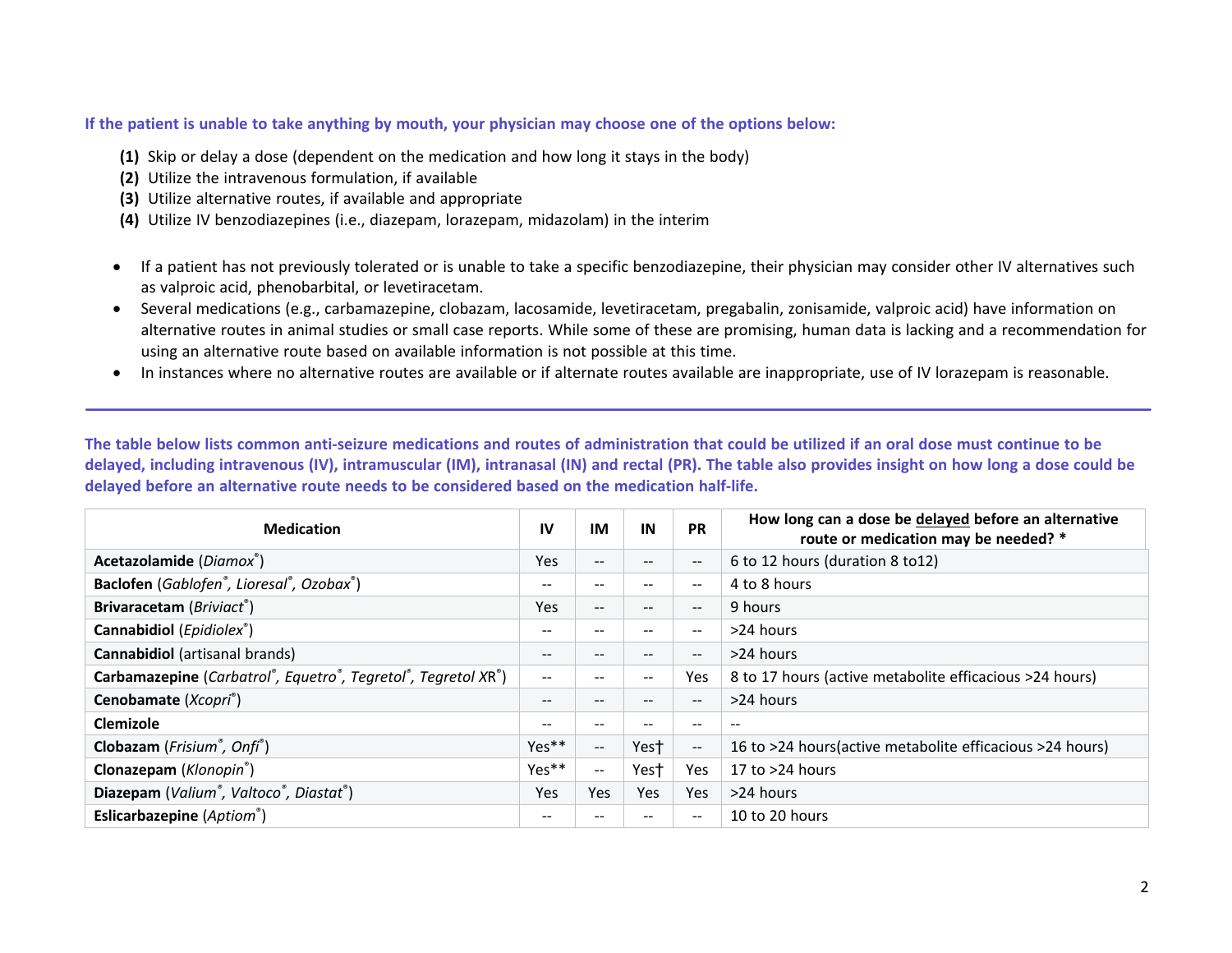## If the patient is unable to take anything by mouth, your physician may choose one of the options below:

- **(1)** Skip or delay a dose (dependent on the medication and how long it stays in the body)
- **(2)** Utilize the intravenous formulation, if available
- **(3)** Utilize alternative routes, if available and appropriate
- **(4)** Utilize IV benzodiazepines (i.e., diazepam, lorazepam, midazolam) in the interim
- If a patient has not previously tolerated or is unable to take a specific benzodiazepine, their physician may consider other IV alternatives such as valproic acid, phenobarbital, or levetiracetam.
- Several medications (e.g., carbamazepine, clobazam, lacosamide, levetiracetam, pregabalin, zonisamide, valproic acid) have information on alternative routes in animal studies or small case reports. While some of these are promising, human data is lacking and a recommendation for using an alternative route based on available information is not possible at this time.
- In instances where no alternative routes are available or if alternate routes available are inappropriate, use of IV lorazepam is reasonable.

The table below lists common anti-seizure medications and routes of administration that could be utilized if an oral dose must continue to be delayed, including intravenous (IV), intramuscular (IM), intranasal (IN) and rectal (PR). The table also provides insight on how long a dose could be **delayed before an alternative route needs to be considered based on the medication half-life.**

| <b>Medication</b>                                             | IV                                    | IM                       | IN                | <b>PR</b>                | How long can a dose be delayed before an alternative<br>route or medication may be needed? * |
|---------------------------------------------------------------|---------------------------------------|--------------------------|-------------------|--------------------------|----------------------------------------------------------------------------------------------|
| Acetazolamide (Diamox®)                                       | Yes                                   | $\qquad \qquad -$        | $- -$             | $\overline{\phantom{a}}$ | 6 to 12 hours (duration 8 to12)                                                              |
| Baclofen (Gablofen®, Lioresal®, Ozobax®)                      | $\hspace{0.05cm}$ – $\hspace{0.05cm}$ | $- -$                    | $\qquad \qquad -$ | $-$                      | 4 to 8 hours                                                                                 |
| Brivaracetam (Briviact®)                                      | Yes                                   | $- -$                    | $\qquad \qquad -$ | $\qquad \qquad -$        | 9 hours                                                                                      |
| Cannabidiol (Epidiolex <sup>®</sup> )                         | $\hspace{0.05cm}$ – $\hspace{0.05cm}$ | $\qquad \qquad -$        | --                | $- -$                    | >24 hours                                                                                    |
| <b>Cannabidiol</b> (artisanal brands)                         | $\hspace{0.05cm}$ – $\hspace{0.05cm}$ | $\qquad \qquad -$        | $- -$             | $- -$                    | >24 hours                                                                                    |
| Carbamazepine (Carbatrol®, Equetro®, Tegretol®, Tegretol XR®) | $\overline{\phantom{m}}$              | $- -$                    | $- -$             | Yes                      | 8 to 17 hours (active metabolite efficacious >24 hours)                                      |
| Cenobamate (Xcopri®)                                          | $\hspace{0.05cm}$ – $\hspace{0.05cm}$ | $\qquad \qquad -$        | $- -$             | $\qquad \qquad -$        | >24 hours                                                                                    |
| Clemizole                                                     | $\overline{\phantom{m}}$              | $\qquad \qquad -$        | --                | --                       | $- -$                                                                                        |
| Clobazam (Frisium <sup>®</sup> , Onfi <sup>®</sup> )          | $Yes**$                               | $\overline{\phantom{a}}$ | Yes†              | $\overline{\phantom{a}}$ | 16 to >24 hours(active metabolite efficacious >24 hours)                                     |
| Clonazepam (Klonopin <sup>®</sup> )                           | Yes**                                 | $\overline{\phantom{a}}$ | Yest <sup>-</sup> | <b>Yes</b>               | 17 to $>24$ hours                                                                            |
| Diazepam (Valium®, Valtoco®, Diastat®)                        | Yes                                   | Yes                      | Yes               | Yes                      | >24 hours                                                                                    |
| <b>Eslicarbazepine</b> (Aptiom <sup>®</sup> )                 | $\overline{\phantom{m}}$              | $- -$                    | --                | $- -$                    | 10 to 20 hours                                                                               |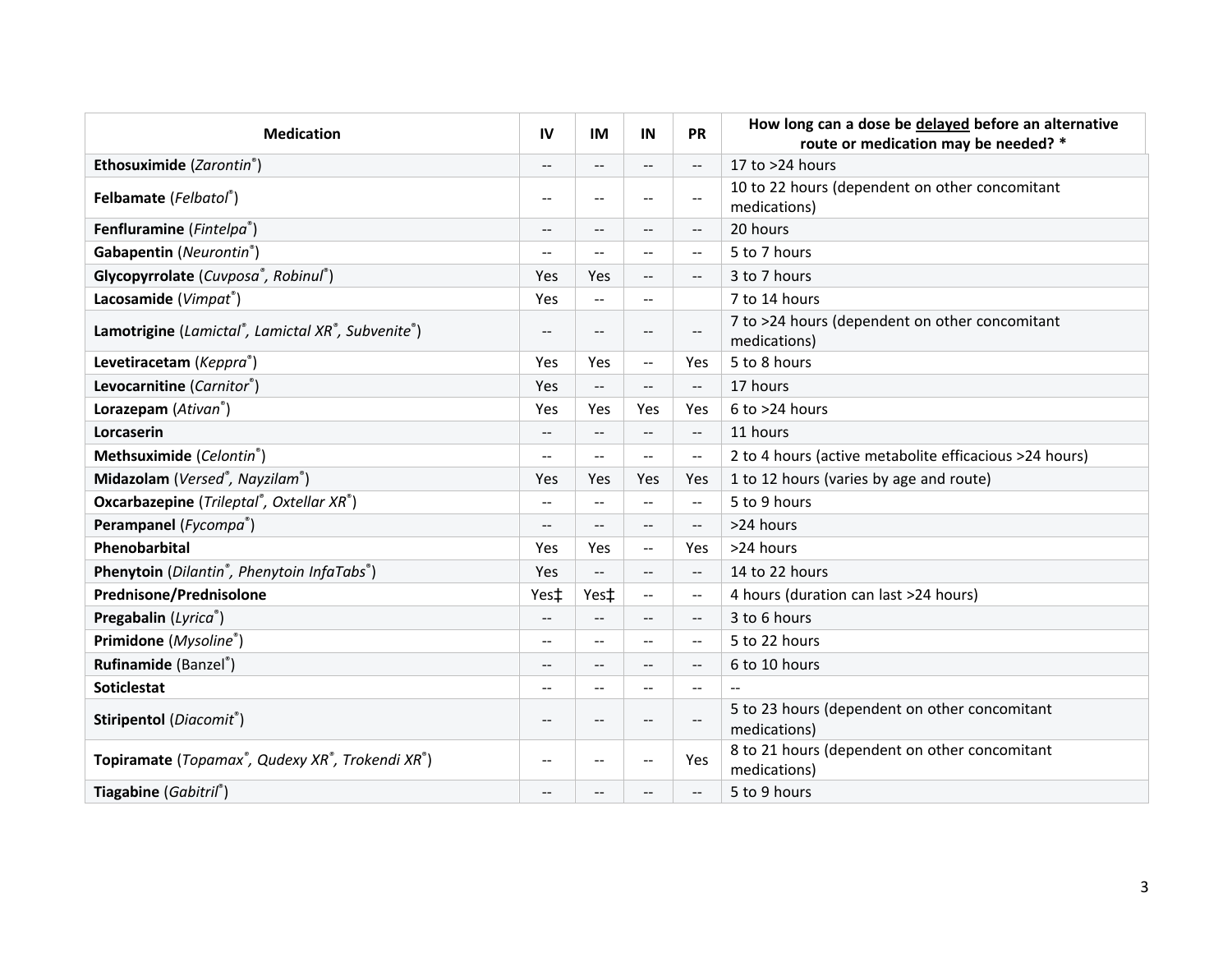| <b>Medication</b>                                       | IV                       | IM                          | IN                                            | <b>PR</b>                                     | How long can a dose be delayed before an alternative<br>route or medication may be needed? * |
|---------------------------------------------------------|--------------------------|-----------------------------|-----------------------------------------------|-----------------------------------------------|----------------------------------------------------------------------------------------------|
| Ethosuximide (Zarontin®)                                | $\qquad \qquad -$        | $-$                         | $-$                                           | Ц.,                                           | 17 to >24 hours                                                                              |
| Felbamate (Felbatol®)                                   | $\overline{\phantom{m}}$ | $\qquad \qquad -$           | --                                            | $\mathord{\hspace{1pt}\text{--}\hspace{1pt}}$ | 10 to 22 hours (dependent on other concomitant<br>medications)                               |
| Fenfluramine (Fintelpa®)                                | $\overline{a}$           | $--$                        | $\overline{a}$                                | $\overline{\phantom{a}}$                      | 20 hours                                                                                     |
| Gabapentin (Neurontin®)                                 | $\overline{\phantom{a}}$ | $- -$                       | $\sim$ $\sim$                                 | $-$                                           | 5 to 7 hours                                                                                 |
| Glycopyrrolate (Cuvposa®, Robinul®)                     | <b>Yes</b>               | Yes                         | --                                            | $\overline{\phantom{a}}$                      | 3 to 7 hours                                                                                 |
| Lacosamide (Vimpat®)                                    | Yes                      | $\mathcal{L}_{\mathcal{F}}$ | --                                            |                                               | 7 to 14 hours                                                                                |
| Lamotrigine (Lamictal®, Lamictal XR®, Subvenite®)       | $- -$                    | $-$                         | $\sim$                                        | $-$                                           | 7 to >24 hours (dependent on other concomitant<br>medications)                               |
| Levetiracetam (Keppra®)                                 | Yes                      | Yes                         | $\mathord{\hspace{1pt}\text{--}\hspace{1pt}}$ | Yes                                           | 5 to 8 hours                                                                                 |
| Levocarnitine (Carnitor®)                               | <b>Yes</b>               | $\overline{\phantom{a}}$    | $\overline{a}$                                | $-$                                           | 17 hours                                                                                     |
| Lorazepam (Ativan <sup>®</sup> )                        | <b>Yes</b>               | Yes                         | Yes                                           | Yes                                           | $6$ to $>24$ hours                                                                           |
| Lorcaserin                                              | $-$                      | $\overline{a}$              | $-$                                           | $-$                                           | 11 hours                                                                                     |
| Methsuximide (Celontin®)                                | $\overline{a}$           | $\overline{a}$              | $\mathbf{u}$                                  | $\overline{\phantom{m}}$                      | 2 to 4 hours (active metabolite efficacious >24 hours)                                       |
| Midazolam (Versed®, Nayzilam®)                          | <b>Yes</b>               | Yes                         | Yes                                           | Yes                                           | 1 to 12 hours (varies by age and route)                                                      |
| Oxcarbazepine (Trileptal®, Oxtellar XR®)                | $-$                      | --                          | $-$                                           | $\overline{\phantom{m}}$                      | 5 to 9 hours                                                                                 |
| Perampanel (Fycompa®)                                   | $\overline{\phantom{a}}$ | $-$                         | --                                            | $ \!-$                                        | >24 hours                                                                                    |
| Phenobarbital                                           | Yes                      | Yes                         | $\mathord{\hspace{1pt}\text{--}\hspace{1pt}}$ | Yes                                           | >24 hours                                                                                    |
| Phenytoin (Dilantin <sup>®</sup> , Phenytoin InfaTabs®) | <b>Yes</b>               | --                          | $-$                                           | $-$                                           | 14 to 22 hours                                                                               |
| Prednisone/Prednisolone                                 | Yes‡                     | Yes‡                        | $\mathord{\hspace{1pt}\text{--}\hspace{1pt}}$ | $\mathord{\hspace{1pt}\text{--}\hspace{1pt}}$ | 4 hours (duration can last >24 hours)                                                        |
| Pregabalin (Lyrica®)                                    | $-$                      | $\overline{a}$              | $-1$                                          | $\qquad \qquad -$                             | 3 to 6 hours                                                                                 |
| Primidone (Mysoline®)                                   | $\qquad \qquad -$        | --                          | $-$                                           | $\mathord{\hspace{1pt}\text{--}\hspace{1pt}}$ | 5 to 22 hours                                                                                |
| Rufinamide (Banzel®)                                    | $-$                      | $- -$                       | $-1$                                          | $\qquad \qquad -$                             | 6 to 10 hours                                                                                |
| <b>Soticlestat</b>                                      | $-$                      | --                          | $\overline{a}$                                | $-$                                           | $\overline{a}$                                                                               |
| Stiripentol (Diacomit®)                                 | $-$                      | --                          | $-$                                           | $-$                                           | 5 to 23 hours (dependent on other concomitant<br>medications)                                |
| Topiramate (Topamax®, Qudexy XR®, Trokendi XR®)         | --                       | --                          | $-$                                           | Yes                                           | 8 to 21 hours (dependent on other concomitant<br>medications)                                |
| Tiagabine (Gabitril®)                                   | $- -$                    | $-$                         | $-1$                                          | $\overline{\phantom{m}}$                      | 5 to 9 hours                                                                                 |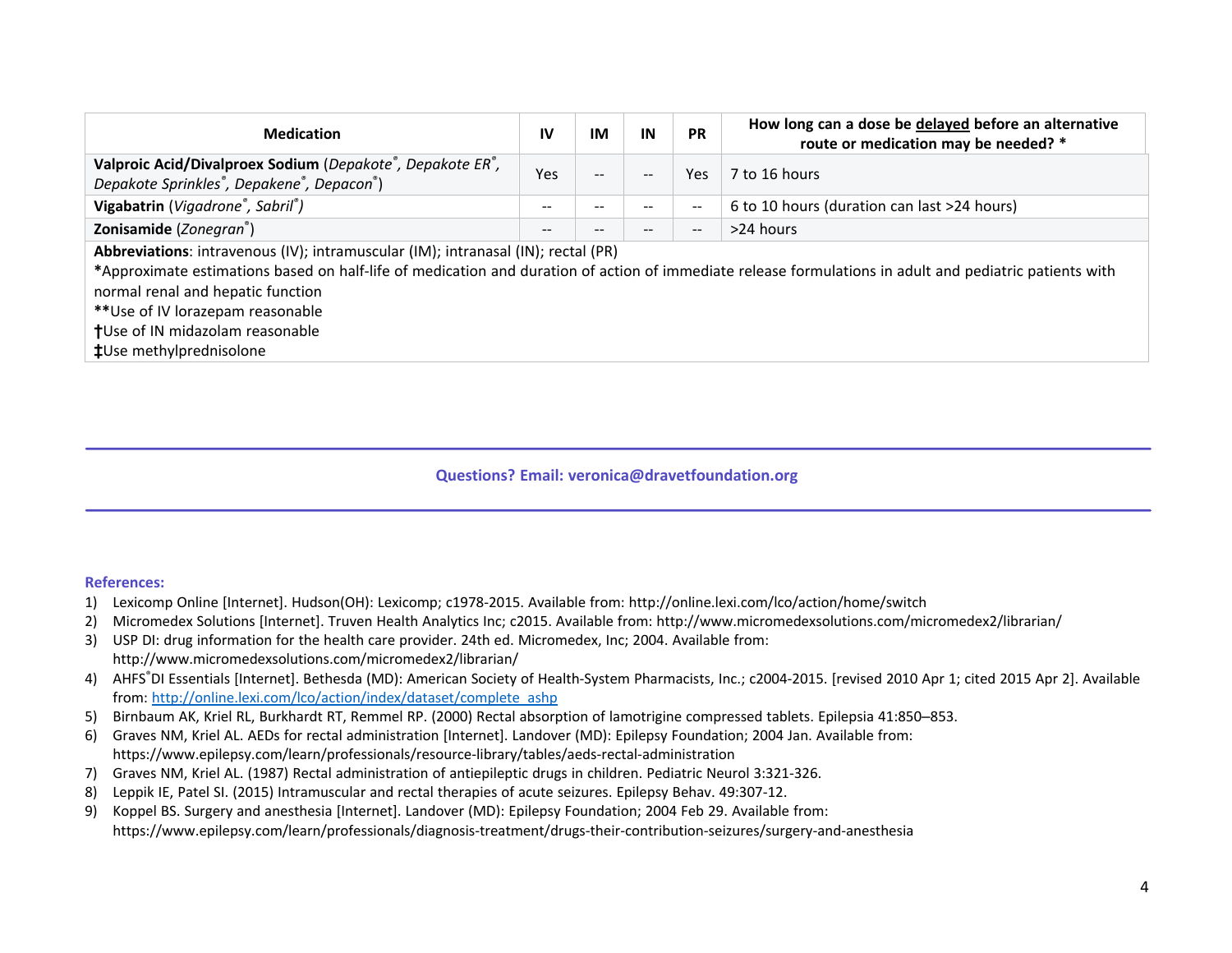| <b>Medication</b>                                                                                                                                                                                                                                                                                                      | IV    | ΙM                | IN                       | <b>PR</b> | How long can a dose be delayed before an alternative<br>route or medication may be needed? * |  |
|------------------------------------------------------------------------------------------------------------------------------------------------------------------------------------------------------------------------------------------------------------------------------------------------------------------------|-------|-------------------|--------------------------|-----------|----------------------------------------------------------------------------------------------|--|
| Valproic Acid/Divalproex Sodium (Depakote <sup>®</sup> , Depakote ER <sup>®</sup> ,<br>Depakote Sprinkles <sup>®</sup> , Depakene <sup>®</sup> , Depacon <sup>®</sup> )                                                                                                                                                | Yes   | $\qquad \qquad -$ | $\qquad \qquad -$        | Yes.      | 7 to 16 hours                                                                                |  |
| Vigabatrin (Vigadrone®, Sabril®)                                                                                                                                                                                                                                                                                       | --    |                   | --                       |           | 6 to 10 hours (duration can last >24 hours)                                                  |  |
| Zonisamide (Zonegran <sup>®</sup> )                                                                                                                                                                                                                                                                                    | $- -$ | --                | $\qquad \qquad \qquad -$ |           | >24 hours                                                                                    |  |
| Abbreviations: intravenous (IV); intramuscular (IM); intranasal (IN); rectal (PR)<br>*Approximate estimations based on half-life of medication and duration of action of immediate release formulations in adult and pediatric patients with<br>normal renal and hepatic function<br>** Use of IV lorazepam reasonable |       |                   |                          |           |                                                                                              |  |

**†**Use of IN midazolam reasonable

**‡**Use methylprednisolone

## **Questions? Email: veronica@dravetfoundation.org**

## **References:**

- 1) Lexicomp Online [Internet]. Hudson(OH): Lexicomp; c1978-2015. Available from: http://online.lexi.com/lco/action/home/switch
- 2) Micromedex Solutions [Internet]. Truven Health Analytics Inc; c2015. Available from: http://www.micromedexsolutions.com/micromedex2/librarian/
- 3) USP DI: drug information for the health care provider. 24th ed. Micromedex, Inc; 2004. Available from: http://www.micromedexsolutions.com/micromedex2/librarian/
- 4) AHFS®DI Essentials [Internet]. Bethesda (MD): American Society of Health-System Pharmacists, Inc.; c2004-2015. [revised 2010 Apr 1; cited 2015 Apr 2]. Available from: http://online.lexi.com/lco/action/index/dataset/complete\_ashp
- 5) Birnbaum AK, Kriel RL, Burkhardt RT, Remmel RP. (2000) Rectal absorption of lamotrigine compressed tablets. Epilepsia 41:850–853.
- 6) Graves NM, Kriel AL. AEDs for rectal administration [Internet]. Landover (MD): Epilepsy Foundation; 2004 Jan. Available from: https://www.epilepsy.com/learn/professionals/resource-library/tables/aeds-rectal-administration
- 7) Graves NM, Kriel AL. (1987) Rectal administration of antiepileptic drugs in children. Pediatric Neurol 3:321-326.
- 8) Leppik IE, Patel SI. (2015) Intramuscular and rectal therapies of acute seizures. Epilepsy Behav. 49:307-12.
- 9) Koppel BS. Surgery and anesthesia [Internet]. Landover (MD): Epilepsy Foundation; 2004 Feb 29. Available from: https://www.epilepsy.com/learn/professionals/diagnosis-treatment/drugs-their-contribution-seizures/surgery-and-anesthesia